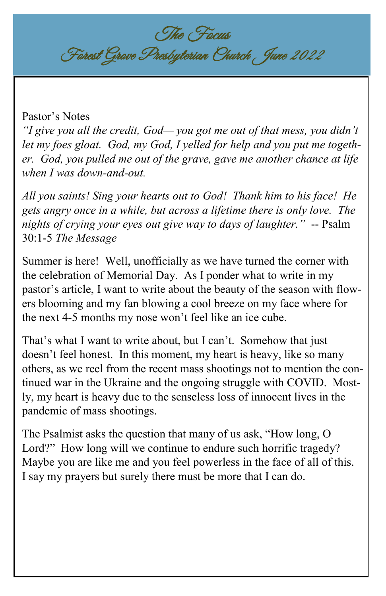The Focus Forest Grove Presbyterian Church June 2022

### Pastor's Notes

*"I give you all the credit, God— you got me out of that mess, you didn't let my foes gloat. God, my God, I yelled for help and you put me together. God, you pulled me out of the grave, gave me another chance at life when I was down-and-out.*

*All you saints! Sing your hearts out to God! Thank him to his face! He gets angry once in a while, but across a lifetime there is only love. The nights of crying your eyes out give way to days of laughter."* -- Psalm 30:1-5 *The Message*

Summer is here! Well, unofficially as we have turned the corner with the celebration of Memorial Day. As I ponder what to write in my pastor's article, I want to write about the beauty of the season with flowers blooming and my fan blowing a cool breeze on my face where for the next 4-5 months my nose won't feel like an ice cube.

That's what I want to write about, but I can't. Somehow that just doesn't feel honest. In this moment, my heart is heavy, like so many others, as we reel from the recent mass shootings not to mention the continued war in the Ukraine and the ongoing struggle with COVID. Mostly, my heart is heavy due to the senseless loss of innocent lives in the pandemic of mass shootings.

The Psalmist asks the question that many of us ask, "How long, O Lord?" How long will we continue to endure such horrific tragedy? Maybe you are like me and you feel powerless in the face of all of this. I say my prayers but surely there must be more that I can do.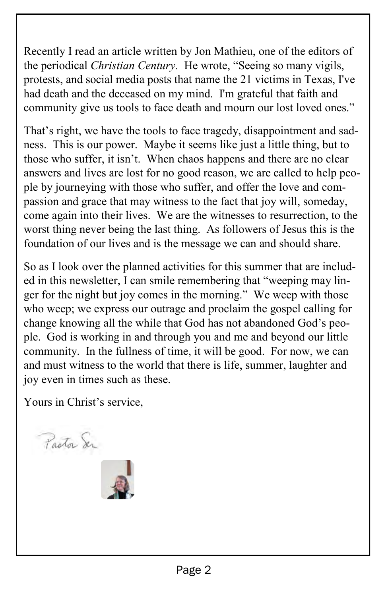Recently I read an article written by Jon Mathieu, one of the editors of the periodical *Christian Century.* He wrote, "Seeing so many vigils, protests, and social media posts that name the 21 victims in Texas, I've had death and the deceased on my mind. I'm grateful that faith and community give us tools to face death and mourn our lost loved ones."

That's right, we have the tools to face tragedy, disappointment and sadness. This is our power. Maybe it seems like just a little thing, but to those who suffer, it isn't. When chaos happens and there are no clear answers and lives are lost for no good reason, we are called to help people by journeying with those who suffer, and offer the love and compassion and grace that may witness to the fact that joy will, someday, come again into their lives. We are the witnesses to resurrection, to the worst thing never being the last thing. As followers of Jesus this is the foundation of our lives and is the message we can and should share.

So as I look over the planned activities for this summer that are included in this newsletter, I can smile remembering that "weeping may linger for the night but joy comes in the morning." We weep with those who weep; we express our outrage and proclaim the gospel calling for change knowing all the while that God has not abandoned God's people. God is working in and through you and me and beyond our little community. In the fullness of time, it will be good. For now, we can and must witness to the world that there is life, summer, laughter and joy even in times such as these.

Yours in Christ's service,

Pastor Ser

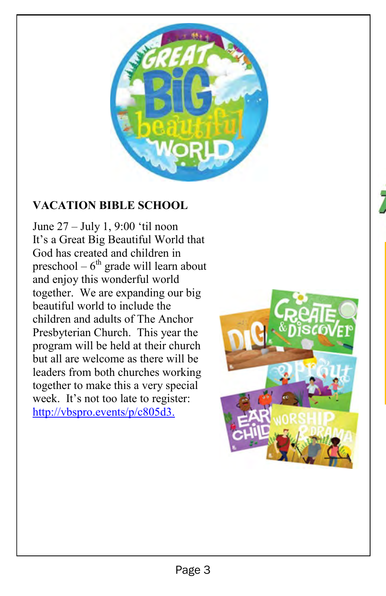

### **VACATION BIBLE SCHOOL**

June 27 – July 1, 9:00 'til noon It's a Great Big Beautiful World that God has created and children in preschool –  $6<sup>th</sup>$  grade will learn about and enjoy this wonderful world together. We are expanding our big beautiful world to include the children and adults of The Anchor Presbyterian Church. This year the program will be held at their church but all are welcome as there will be leaders from both churches working together to make this a very special week. It's not too late to register: [http://vbspro.events/p/c805d3.](http://vbspro.events/p/c805d3) 

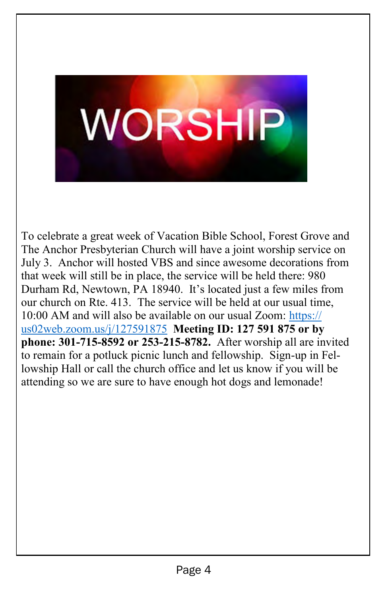# **WORSHIP**

֖֚֚֬֝֬֝֬֝֬֝֬֝֬֝

To celebrate a great week of Vacation Bible School, Forest Grove and The Anchor Presbyterian Church will have a joint worship service on July 3. Anchor will hosted VBS and since awesome decorations from that week will still be in place, the service will be held there: 980 Durham Rd, Newtown, PA 18940. It's located just a few miles from our church on Rte. 413. The service will be held at our usual time, 10:00 AM and will also be available on our usual Zoom: [https://](https://us02web.zoom.us/j/127591875) [us02web.zoom.us/j/127591875](https://us02web.zoom.us/j/127591875) **Meeting ID: 127 591 875 or by phone: 301-715-8592 or 253-215-8782.** After worship all are invited to remain for a potluck picnic lunch and fellowship. Sign-up in Fellowship Hall or call the church office and let us know if you will be attending so we are sure to have enough hot dogs and lemonade!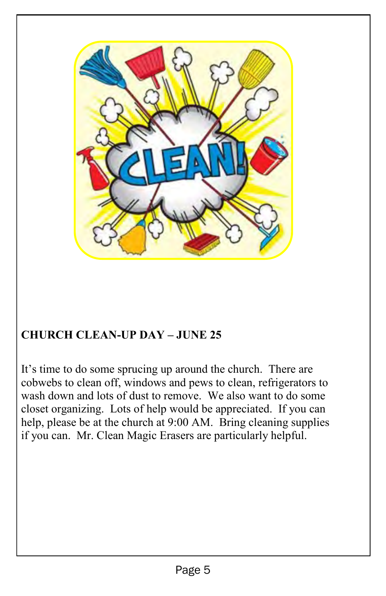

## **CHURCH CLEAN-UP DAY – JUNE 25**

It's time to do some sprucing up around the church. There are cobwebs to clean off, windows and pews to clean, refrigerators to wash down and lots of dust to remove. We also want to do some closet organizing. Lots of help would be appreciated. If you can help, please be at the church at 9:00 AM. Bring cleaning supplies if you can. Mr. Clean Magic Erasers are particularly helpful.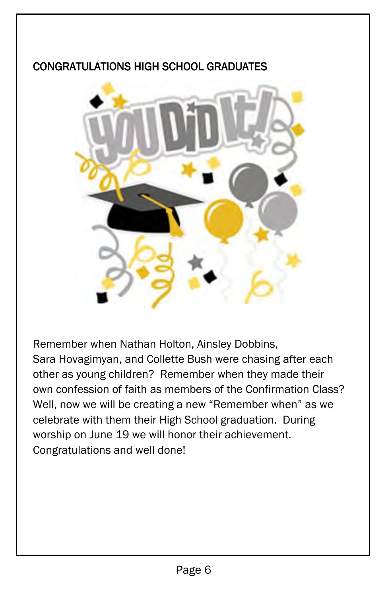### CONGRATULATIONS HIGH SCHOOL GRADUATES



Remember when Nathan Holton, Ainsley Dobbins, Sara Hovagimyan, and Collette Bush were chasing after each other as young children? Remember when they made their own confession of faith as members of the Confirmation Class? Well, now we will be creating a new "Remember when" as we celebrate with them their High School graduation. During worship on June 19 we will honor their achievement. Congratulations and well done!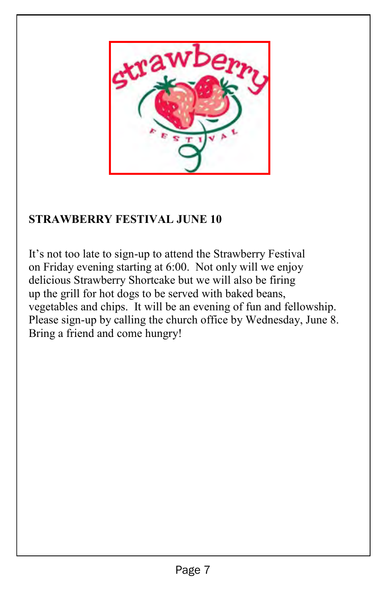

### **STRAWBERRY FESTIVAL JUNE 10**

It's not too late to sign-up to attend the Strawberry Festival on Friday evening starting at 6:00. Not only will we enjoy delicious Strawberry Shortcake but we will also be firing up the grill for hot dogs to be served with baked beans, vegetables and chips. It will be an evening of fun and fellowship. Please sign-up by calling the church office by Wednesday, June 8. Bring a friend and come hungry!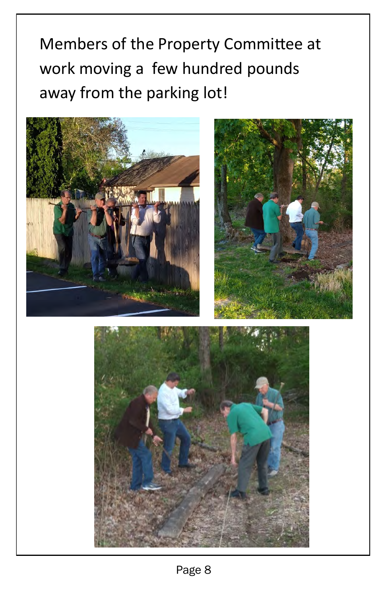Members of the Property Committee at work moving a few hundred pounds away from the parking lot!





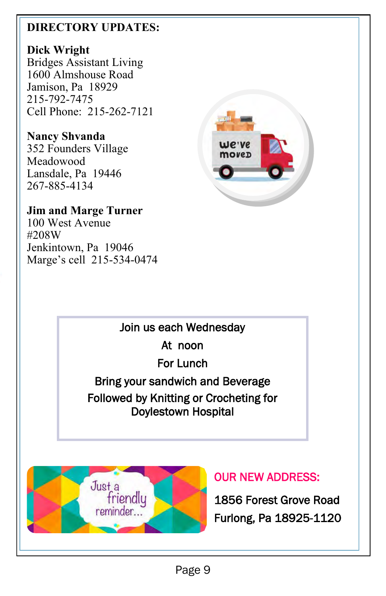### **DIRECTORY UPDATES:**

### **Dick Wright**

Bridges Assistant Living 1600 Almshouse Road Jamison, Pa 18929 215-792-7475 Cell Phone: 215-262-7121

### **Nancy Shvanda**

352 Founders Village Meadowood Lansdale, Pa 19446 267-885-4134

### **Jim and Marge Turner**

100 West Avenue #208W Jenkintown, Pa 19046 Marge's cell 215-534-0474



### Join us each Wednesday

At noon

For Lunch

### Bring your sandwich and Beverage Followed by Knitting or Crocheting for Doylestown Hospital



## OUR NEW ADDRESS:

1856 Forest Grove Road Furlong, Pa 18925-1120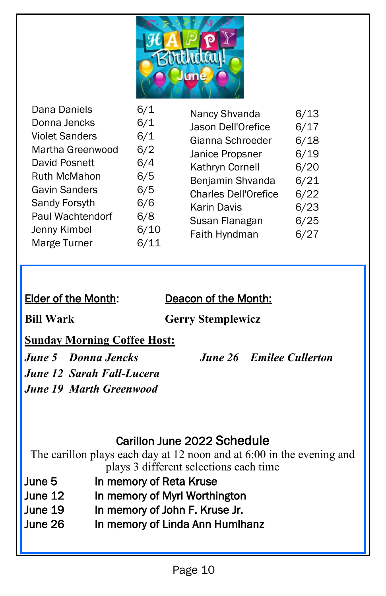

| Dana Daniels<br>Donna Jencks<br><b>Violet Sanders</b><br>Martha Greenwood<br>David Posnett<br><b>Ruth McMahon</b><br><b>Gavin Sanders</b><br>Sandy Forsyth<br>Paul Wachtendorf<br>Jenny Kimbel<br>Marge Turner | 6/1<br>6/1<br>6/1<br>6/2<br>6/4<br>6/5<br>6/5<br>6/6<br>6/8<br>6/10<br>6/11 | Nancy Shvanda<br>Jason Dell'Orefice<br>Gianna Schroeder<br>Janice Propsner<br>Kathryn Cornell<br>Benjamin Shvanda<br><b>Charles Dell'Orefice</b><br><b>Karin Davis</b><br>Susan Flanagan<br>Faith Hyndman | 6/13<br>6/17<br>6/18<br>6/19<br>6/20<br>6/21<br>6/22<br>6/23<br>6/25<br>6/27 |
|----------------------------------------------------------------------------------------------------------------------------------------------------------------------------------------------------------------|-----------------------------------------------------------------------------|-----------------------------------------------------------------------------------------------------------------------------------------------------------------------------------------------------------|------------------------------------------------------------------------------|
|----------------------------------------------------------------------------------------------------------------------------------------------------------------------------------------------------------------|-----------------------------------------------------------------------------|-----------------------------------------------------------------------------------------------------------------------------------------------------------------------------------------------------------|------------------------------------------------------------------------------|

### Elder of the Month: Deacon of the Month:

**Bill Wark Gerry Stemplewicz**

### **Sunday Morning Coffee Host:**

*June 12 Sarah Fall-Lucera* *June 19 Marth Greenwood* 

*June 5 Donna Jencks**June 26 Emilee Cullerton*

### Carillon June 2022 Schedule

The carillon plays each day at 12 noon and at 6:00 in the evening and plays 3 different selections each time

- June 5 In memory of Reta Kruse
- June 12 In memory of Myrl Worthington
- June 19 In memory of John F. Kruse Jr.
- June 26 In memory of Linda Ann Humlhanz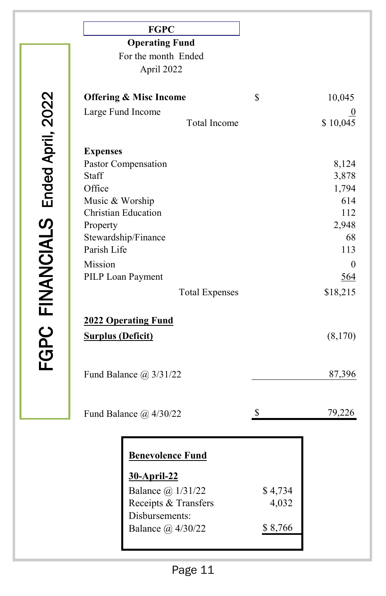|                                   | <b>FGPC</b>                       |              |
|-----------------------------------|-----------------------------------|--------------|
|                                   | <b>Operating Fund</b>             |              |
|                                   | For the month Ended               |              |
|                                   | April 2022                        |              |
| FGPC FINANCIALS Ended April, 2022 | <b>Offering &amp; Misc Income</b> | \$<br>10,045 |
|                                   | Large Fund Income<br>Total Income | \$10,045     |
|                                   |                                   |              |
|                                   | <b>Expenses</b>                   |              |
|                                   | Pastor Compensation               | 8,124        |
|                                   | Staff                             | 3,878        |
|                                   | Office                            | 1,794        |
|                                   | Music & Worship                   | 614          |
|                                   | <b>Christian Education</b>        | 112          |
|                                   | Property                          | 2,948        |
|                                   | Stewardship/Finance               | 68           |
|                                   | Parish Life                       | 113          |
|                                   | Mission                           | $\theta$     |
|                                   | PILP Loan Payment                 | 564          |
|                                   | <b>Total Expenses</b>             | \$18,215     |
|                                   |                                   |              |
|                                   | <b>2022 Operating Fund</b>        |              |
|                                   | <b>Surplus (Deficit)</b>          | (8,170)      |
|                                   |                                   |              |
|                                   |                                   |              |
|                                   | Fund Balance $\omega$ 3/31/22     | 87,396       |
|                                   |                                   |              |

Fund Balance @ 4/30/22 \$ 79,226

| <b>Benevolence Fund</b> |         |
|-------------------------|---------|
| 30-April-22             |         |
| Balance @ 1/31/22       | \$4,734 |
| Receipts & Transfers    | 4,032   |
| Disbursements:          |         |
| Balance @ 4/30/22       | \$8,766 |
|                         |         |